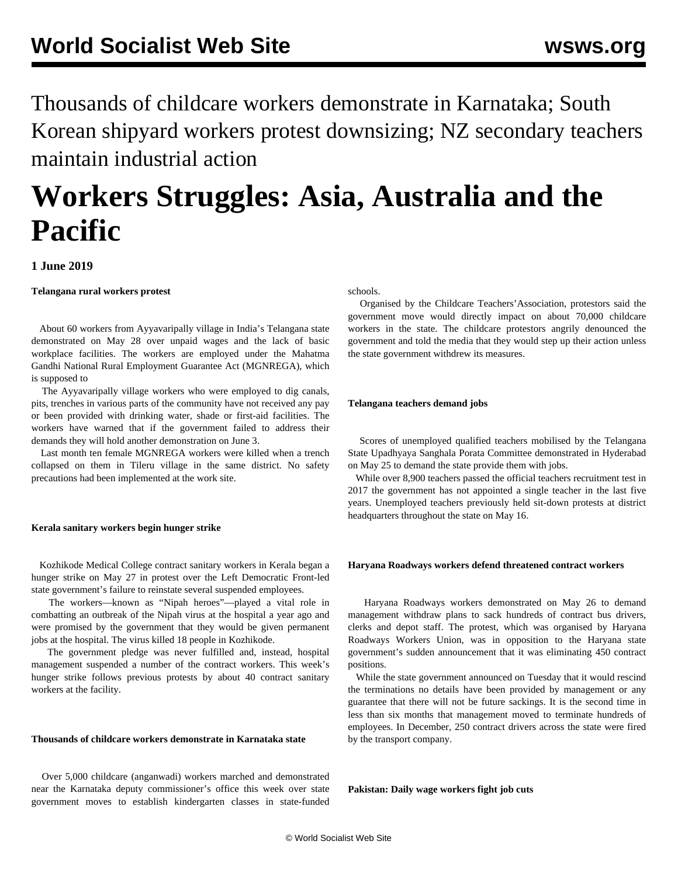Thousands of childcare workers demonstrate in Karnataka; South Korean shipyard workers protest downsizing; NZ secondary teachers maintain industrial action

# **Workers Struggles: Asia, Australia and the Pacific**

# **1 June 2019**

**Telangana rural workers protest**

 About 60 workers from Ayyavaripally village in India's Telangana state demonstrated on May 28 over unpaid wages and the lack of basic workplace facilities. The workers are employed under the Mahatma Gandhi National Rural Employment Guarantee Act (MGNREGA), which is supposed to

 The Ayyavaripally village workers who were employed to dig canals, pits, trenches in various parts of the community have not received any pay or been provided with drinking water, shade or first-aid facilities. The workers have warned that if the government failed to address their demands they will hold another demonstration on June 3.

 Last month ten female MGNREGA workers were killed when a trench collapsed on them in Tileru village in the same district. No safety precautions had been implemented at the work site.

# **Kerala sanitary workers begin hunger strike**

 Kozhikode Medical College contract sanitary workers in Kerala began a hunger strike on May 27 in protest over the Left Democratic Front-led state government's failure to reinstate several suspended employees.

 The workers—known as "Nipah heroes"—played a vital role in combatting an outbreak of the Nipah virus at the hospital a year ago and were promised by the government that they would be given permanent jobs at the hospital. The virus killed 18 people in Kozhikode.

 The government pledge was never fulfilled and, instead, hospital management suspended a number of the contract workers. This week's hunger strike follows previous protests by about 40 contract sanitary workers at the facility.

#### **Thousands of childcare workers demonstrate in Karnataka state**

 Over 5,000 childcare (anganwadi) workers marched and demonstrated near the Karnataka deputy commissioner's office this week over state government moves to establish kindergarten classes in state-funded schools.

 Organised by the Childcare Teachers'Association, protestors said the government move would directly impact on about 70,000 childcare workers in the state. The childcare protestors angrily denounced the government and told the media that they would step up their action unless the state government withdrew its measures.

#### **Telangana teachers demand jobs**

 Scores of unemployed qualified teachers mobilised by the Telangana State Upadhyaya Sanghala Porata Committee demonstrated in Hyderabad on May 25 to demand the state provide them with jobs.

 While over 8,900 teachers passed the official teachers recruitment test in 2017 the government has not appointed a single teacher in the last five years. Unemployed teachers previously held sit-down protests at district headquarters throughout the state on May 16.

#### **Haryana Roadways workers defend threatened contract workers**

 Haryana Roadways workers demonstrated on May 26 to demand management withdraw plans to sack hundreds of contract bus drivers, clerks and depot staff. The protest, which was organised by Haryana Roadways Workers Union, was in opposition to the Haryana state government's sudden announcement that it was eliminating 450 contract positions.

 While the state government announced on Tuesday that it would rescind the terminations no details have been provided by management or any guarantee that there will not be future sackings. It is the second time in less than six months that management moved to terminate hundreds of employees. In December, 250 contract drivers across the state were fired by the transport company.

**Pakistan: Daily wage workers fight job cuts**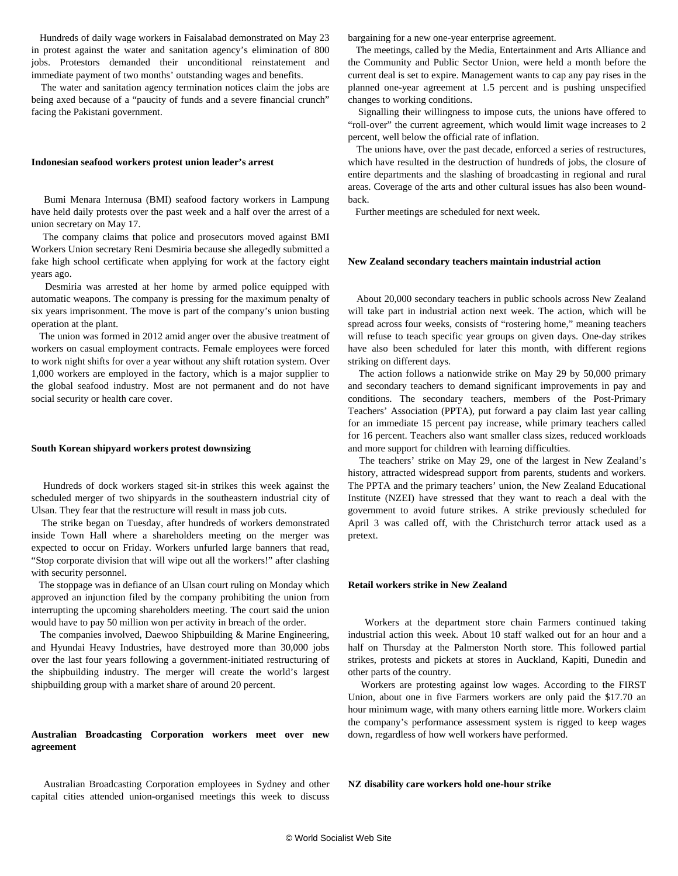Hundreds of daily wage workers in Faisalabad demonstrated on May 23 in protest against the water and sanitation agency's elimination of 800 jobs. Protestors demanded their unconditional reinstatement and immediate payment of two months' outstanding wages and benefits.

 The water and sanitation agency termination notices claim the jobs are being axed because of a "paucity of funds and a severe financial crunch" facing the Pakistani government.

#### **Indonesian seafood workers protest union leader's arrest**

 Bumi Menara Internusa (BMI) seafood factory workers in Lampung have held daily protests over the past week and a half over the arrest of a union secretary on May 17.

 The company claims that police and prosecutors moved against BMI Workers Union secretary Reni Desmiria because she allegedly submitted a fake high school certificate when applying for work at the factory eight years ago.

 Desmiria was arrested at her home by armed police equipped with automatic weapons. The company is pressing for the maximum penalty of six years imprisonment. The move is part of the company's union busting operation at the plant.

 The union was formed in 2012 amid anger over the abusive treatment of workers on casual employment contracts. Female employees were forced to work night shifts for over a year without any shift rotation system. Over 1,000 workers are employed in the factory, which is a major supplier to the global seafood industry. Most are not permanent and do not have social security or health care cover.

#### **South Korean shipyard workers protest downsizing**

 Hundreds of dock workers staged sit-in strikes this week against the scheduled merger of two shipyards in the southeastern industrial city of Ulsan. They fear that the restructure will result in mass job cuts.

 The strike began on Tuesday, after hundreds of workers demonstrated inside Town Hall where a shareholders meeting on the merger was expected to occur on Friday. Workers unfurled large banners that read, "Stop corporate division that will wipe out all the workers!" after clashing with security personnel.

 The stoppage was in defiance of an Ulsan court ruling on Monday which approved an injunction filed by the company prohibiting the union from interrupting the upcoming shareholders meeting. The court said the union would have to pay 50 million won per activity in breach of the order.

 The companies involved, Daewoo Shipbuilding & Marine Engineering, and Hyundai Heavy Industries, have destroyed more than 30,000 jobs over the last four years following a government-initiated restructuring of the shipbuilding industry. The merger will create the world's largest shipbuilding group with a market share of around 20 percent.

# **Australian Broadcasting Corporation workers meet over new agreement**

 Australian Broadcasting Corporation employees in Sydney and other capital cities attended union-organised meetings this week to discuss bargaining for a new one-year enterprise agreement.

 The meetings, called by the Media, Entertainment and Arts Alliance and the Community and Public Sector Union, were held a month before the current deal is set to expire. Management wants to cap any pay rises in the planned one-year agreement at 1.5 percent and is pushing unspecified changes to working conditions.

 Signalling their willingness to impose cuts, the unions have offered to "roll-over" the current agreement, which would limit wage increases to 2 percent, well below the official rate of inflation.

 The unions have, over the past decade, enforced a series of restructures, which have resulted in the destruction of hundreds of jobs, the closure of entire departments and the slashing of broadcasting in regional and rural areas. Coverage of the arts and other cultural issues has also been woundback.

Further meetings are scheduled for next week.

# **New Zealand secondary teachers maintain industrial action**

 About 20,000 secondary teachers in public schools across New Zealand will take part in industrial action next week. The action, which will be spread across four weeks, consists of "rostering home," meaning teachers will refuse to teach specific year groups on given days. One-day strikes have also been scheduled for later this month, with different regions striking on different days.

 The action follows a nationwide strike on May 29 by 50,000 primary and secondary teachers to demand significant improvements in pay and conditions. The secondary teachers, members of the Post-Primary Teachers' Association (PPTA), put forward a pay claim last year calling for an immediate 15 percent pay increase, while primary teachers called for 16 percent. Teachers also want smaller class sizes, reduced workloads and more support for children with learning difficulties.

 The teachers' strike on May 29, one of the largest in New Zealand's history, attracted widespread support from parents, students and workers. The PPTA and the primary teachers' union, the New Zealand Educational Institute (NZEI) have stressed that they want to reach a deal with the government to avoid future strikes. A strike previously scheduled for April 3 was called off, with the Christchurch terror attack used as a pretext.

# **Retail workers strike in New Zealand**

 Workers at the department store chain Farmers continued taking industrial action this week. About 10 staff walked out for an hour and a half on Thursday at the Palmerston North store. This followed partial strikes, protests and pickets at stores in Auckland, Kapiti, Dunedin and other parts of the country.

 Workers are protesting against low wages. According to the FIRST Union, about one in five Farmers workers are only paid the \$17.70 an hour minimum wage, with many others earning little more. Workers claim the company's performance assessment system is rigged to keep wages down, regardless of how well workers have performed.

**NZ disability care workers hold one-hour strike**